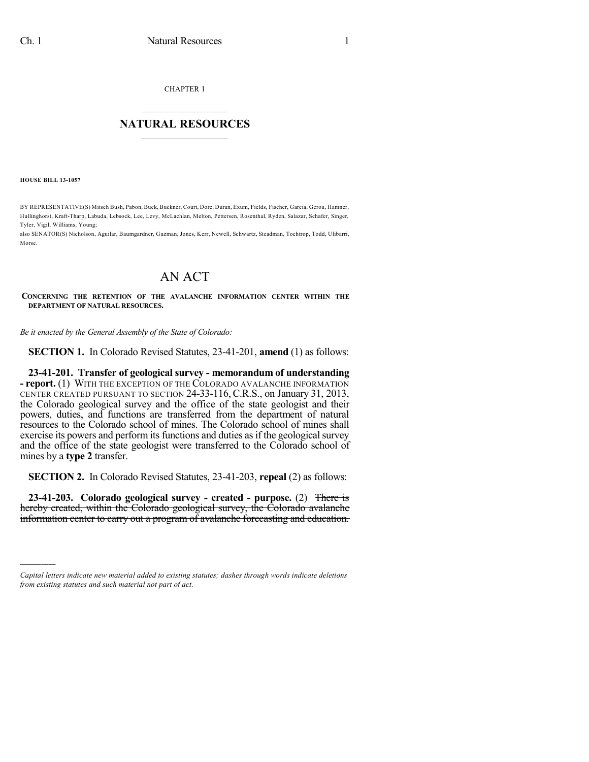CHAPTER 1

## $\mathcal{L}_\text{max}$  . The set of the set of the set of the set of the set of the set of the set of the set of the set of the set of the set of the set of the set of the set of the set of the set of the set of the set of the set **NATURAL RESOURCES**  $\frac{1}{\sqrt{2}}$  , where  $\frac{1}{\sqrt{2}}$  ,  $\frac{1}{\sqrt{2}}$  ,  $\frac{1}{\sqrt{2}}$

**HOUSE BILL 13-1057**

)))))

BY REPRESENTATIVE(S) Mitsch Bush, Pabon, Buck, Buckner, Court, Dore, Duran, Exum, Fields, Fischer, Garcia, Gerou, Hamner, Hullinghorst, Kraft-Tharp, Labuda, Lebsock, Lee, Levy, McLachlan, Melton, Pettersen, Rosenthal, Ryden, Salazar, Schafer, Singer, Tyler, Vigil, Williams, Young;

also SENATOR(S) Nicholson, Aguilar, Baumgardner, Guzman, Jones, Kerr, Newell, Schwartz, Steadman, Tochtrop, Todd, Ulibarri, Morse.

## AN ACT

**CONCERNING THE RETENTION OF THE AVALANCHE INFORMATION CENTER WITHIN THE DEPARTMENT OF NATURAL RESOURCES.**

*Be it enacted by the General Assembly of the State of Colorado:*

**SECTION 1.** In Colorado Revised Statutes, 23-41-201, **amend** (1) as follows:

**23-41-201. Transfer of geological survey - memorandum of understanding - report.** (1) WITH THE EXCEPTION OF THE COLORADO AVALANCHE INFORMATION CENTER CREATED PURSUANT TO SECTION 24-33-116, C.R.S., on January 31, 2013, the Colorado geological survey and the office of the state geologist and their powers, duties, and functions are transferred from the department of natural resources to the Colorado school of mines. The Colorado school of mines shall exercise its powers and perform its functions and duties as if the geological survey and the office of the state geologist were transferred to the Colorado school of mines by a **type 2** transfer.

**SECTION 2.** In Colorado Revised Statutes, 23-41-203, **repeal** (2) as follows:

**23-41-203. Colorado geological survey - created - purpose.** (2) There is hereby created, within the Colorado geological survey, the Colorado avalanche information center to carry out a program of avalanche forecasting and education.

*Capital letters indicate new material added to existing statutes; dashes through words indicate deletions from existing statutes and such material not part of act.*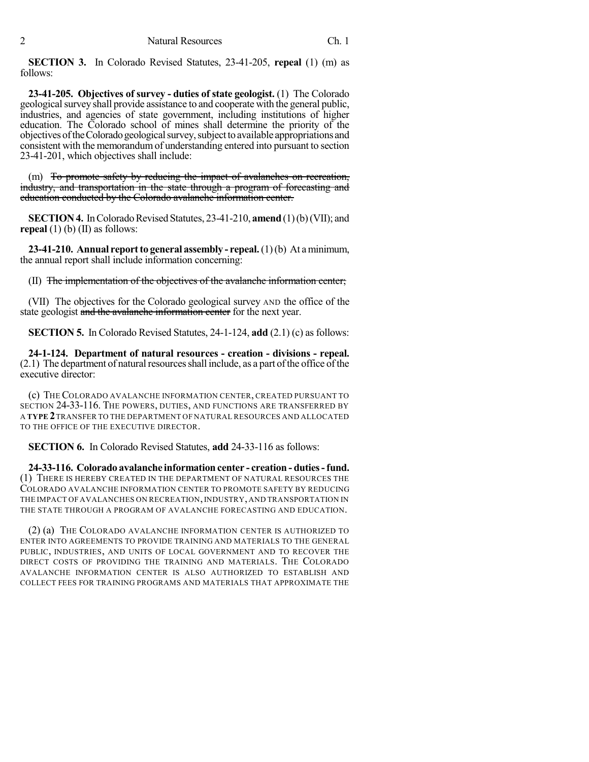**SECTION 3.** In Colorado Revised Statutes, 23-41-205, **repeal** (1) (m) as follows:

**23-41-205. Objectives of survey - duties of state geologist.** (1) The Colorado geological survey shall provide assistance to and cooperate with the general public, industries, and agencies of state government, including institutions of higher education. The Colorado school of mines shall determine the priority of the objectives of the Colorado geological survey, subject to available appropriations and consistent with the memorandumof understanding entered into pursuant to section 23-41-201, which objectives shall include:

(m) To promote safety by reducing the impact of avalanches on recreation, industry, and transportation in the state through a program of forecasting and education conducted by the Colorado avalanche information center.

**SECTION 4.** In Colorado Revised Statutes, 23-41-210, **amend** (1)(b)(VII); and **repeal** (1) (b) (II) as follows:

**23-41-210. Annual reportto general assembly - repeal.**(1)(b) At aminimum, the annual report shall include information concerning:

(II) The implementation of the objectives of the avalanche information center;

(VII) The objectives for the Colorado geological survey AND the office of the state geologist and the avalanche information center for the next year.

**SECTION 5.** In Colorado Revised Statutes, 24-1-124, **add** (2.1) (c) as follows:

**24-1-124. Department of natural resources - creation - divisions - repeal.**  $(2.1)$  The department of natural resources shall include, as a part of the office of the executive director:

(c) THE COLORADO AVALANCHE INFORMATION CENTER, CREATED PURSUANT TO SECTION 24-33-116. THE POWERS, DUTIES, AND FUNCTIONS ARE TRANSFERRED BY A **TYPE 2**TRANSFER TO THE DEPARTMENT OF NATURAL RESOURCES AND ALLOCATED TO THE OFFICE OF THE EXECUTIVE DIRECTOR.

**SECTION 6.** In Colorado Revised Statutes, **add** 24-33-116 as follows:

**24-33-116. Colorado avalanche information center - creation - duties-fund.** (1) THERE IS HEREBY CREATED IN THE DEPARTMENT OF NATURAL RESOURCES THE COLORADO AVALANCHE INFORMATION CENTER TO PROMOTE SAFETY BY REDUCING THE IMPACT OF AVALANCHES ON RECREATION,INDUSTRY, AND TRANSPORTATION IN THE STATE THROUGH A PROGRAM OF AVALANCHE FORECASTING AND EDUCATION.

(2) (a) THE COLORADO AVALANCHE INFORMATION CENTER IS AUTHORIZED TO ENTER INTO AGREEMENTS TO PROVIDE TRAINING AND MATERIALS TO THE GENERAL PUBLIC, INDUSTRIES, AND UNITS OF LOCAL GOVERNMENT AND TO RECOVER THE DIRECT COSTS OF PROVIDING THE TRAINING AND MATERIALS. THE COLORADO AVALANCHE INFORMATION CENTER IS ALSO AUTHORIZED TO ESTABLISH AND COLLECT FEES FOR TRAINING PROGRAMS AND MATERIALS THAT APPROXIMATE THE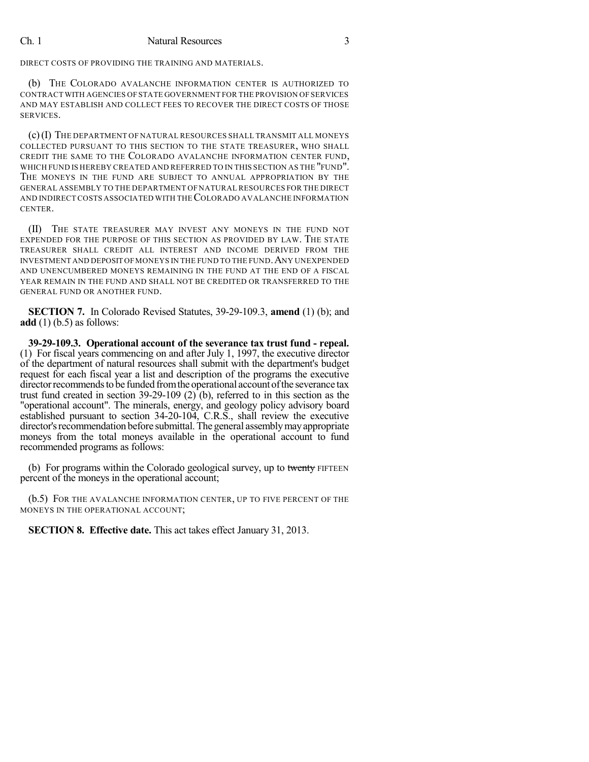DIRECT COSTS OF PROVIDING THE TRAINING AND MATERIALS.

(b) THE COLORADO AVALANCHE INFORMATION CENTER IS AUTHORIZED TO CONTRACT WITH AGENCIES OF STATE GOVERNMENT FOR THE PROVISION OF SERVICES AND MAY ESTABLISH AND COLLECT FEES TO RECOVER THE DIRECT COSTS OF THOSE SERVICES.

(c)(I) THE DEPARTMENT OF NATURAL RESOURCES SHALL TRANSMIT ALL MONEYS COLLECTED PURSUANT TO THIS SECTION TO THE STATE TREASURER, WHO SHALL CREDIT THE SAME TO THE COLORADO AVALANCHE INFORMATION CENTER FUND, WHICH FUND IS HEREBY CREATED AND REFERRED TO IN THIS SECTION AS THE "FUND". THE MONEYS IN THE FUND ARE SUBJECT TO ANNUAL APPROPRIATION BY THE GENERAL ASSEMBLY TO THE DEPARTMENT OF NATURAL RESOURCES FOR THE DIRECT AND INDIRECTCOSTS ASSOCIATED WITH THECOLORADO AVALANCHE INFORMATION CENTER.

(II) THE STATE TREASURER MAY INVEST ANY MONEYS IN THE FUND NOT EXPENDED FOR THE PURPOSE OF THIS SECTION AS PROVIDED BY LAW. THE STATE TREASURER SHALL CREDIT ALL INTEREST AND INCOME DERIVED FROM THE INVESTMENT AND DEPOSIT OFMONEYS IN THE FUND TO THE FUND.ANY UNEXPENDED AND UNENCUMBERED MONEYS REMAINING IN THE FUND AT THE END OF A FISCAL YEAR REMAIN IN THE FUND AND SHALL NOT BE CREDITED OR TRANSFERRED TO THE GENERAL FUND OR ANOTHER FUND.

**SECTION 7.** In Colorado Revised Statutes, 39-29-109.3, **amend** (1) (b); and **add** (1) (b.5) as follows:

**39-29-109.3. Operational account of the severance tax trust fund - repeal.** (1) For fiscal years commencing on and after July 1, 1997, the executive director of the department of natural resources shall submit with the department's budget request for each fiscal year a list and description of the programs the executive director recommends to be funded from the operational account of the severance tax trust fund created in section 39-29-109 (2) (b), referred to in this section as the "operational account". The minerals, energy, and geology policy advisory board established pursuant to section 34-20-104, C.R.S., shall review the executive director's recommendation before submittal. The general assembly may appropriate moneys from the total moneys available in the operational account to fund recommended programs as follows:

(b) For programs within the Colorado geological survey, up to twenty FIFTEEN percent of the moneys in the operational account;

(b.5) FOR THE AVALANCHE INFORMATION CENTER, UP TO FIVE PERCENT OF THE MONEYS IN THE OPERATIONAL ACCOUNT;

**SECTION 8. Effective date.** This act takes effect January 31, 2013.